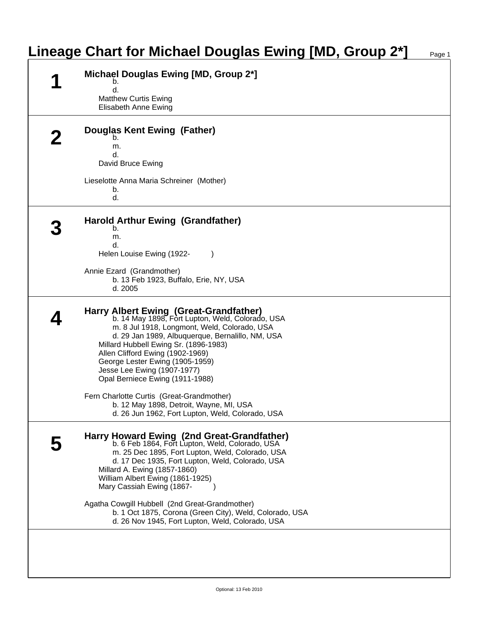## **Lineage Chart for Michael Douglas Ewing [MD, Group 2\*]** Page 1

|  | Michael Douglas Ewing [MD, Group 2*]<br>b.                                                                                                                                                                                                                                                                                                                                       |
|--|----------------------------------------------------------------------------------------------------------------------------------------------------------------------------------------------------------------------------------------------------------------------------------------------------------------------------------------------------------------------------------|
|  | d.<br><b>Matthew Curtis Ewing</b><br>Elisabeth Anne Ewing                                                                                                                                                                                                                                                                                                                        |
|  | <b>Douglas Kent Ewing (Father)</b><br>b.                                                                                                                                                                                                                                                                                                                                         |
|  | m.<br>d.<br>David Bruce Ewing                                                                                                                                                                                                                                                                                                                                                    |
|  | Lieselotte Anna Maria Schreiner (Mother)<br>b.<br>d.                                                                                                                                                                                                                                                                                                                             |
|  | <b>Harold Arthur Ewing (Grandfather)</b><br>b.                                                                                                                                                                                                                                                                                                                                   |
|  | m.<br>d.<br>Helen Louise Ewing (1922-                                                                                                                                                                                                                                                                                                                                            |
|  | Annie Ezard (Grandmother)<br>b. 13 Feb 1923, Buffalo, Erie, NY, USA<br>d. 2005                                                                                                                                                                                                                                                                                                   |
|  | Harry Albert Ewing (Great-Grandfather)<br>b. 14 May 1898, Fort Lupton, Weld, Colorado, USA<br>m. 8 Jul 1918, Longmont, Weld, Colorado, USA<br>d. 29 Jan 1989, Albuquerque, Bernalillo, NM, USA<br>Millard Hubbell Ewing Sr. (1896-1983)<br>Allen Clifford Ewing (1902-1969)<br>George Lester Ewing (1905-1959)<br>Jesse Lee Ewing (1907-1977)<br>Opal Berniece Ewing (1911-1988) |
|  | Fern Charlotte Curtis (Great-Grandmother)<br>b. 12 May 1898, Detroit, Wayne, MI, USA<br>d. 26 Jun 1962, Fort Lupton, Weld, Colorado, USA                                                                                                                                                                                                                                         |
|  | Harry Howard Ewing (2nd Great-Grandfather)<br>b. 6 Feb 1864, Fort Lupton, Weld, Colorado, USA<br>m. 25 Dec 1895, Fort Lupton, Weld, Colorado, USA<br>d. 17 Dec 1935, Fort Lupton, Weld, Colorado, USA<br>Millard A. Ewing (1857-1860)<br>William Albert Ewing (1861-1925)<br>Mary Cassiah Ewing (1867-                                                                           |
|  | Agatha Cowgill Hubbell (2nd Great-Grandmother)<br>b. 1 Oct 1875, Corona (Green City), Weld, Colorado, USA<br>d. 26 Nov 1945, Fort Lupton, Weld, Colorado, USA                                                                                                                                                                                                                    |